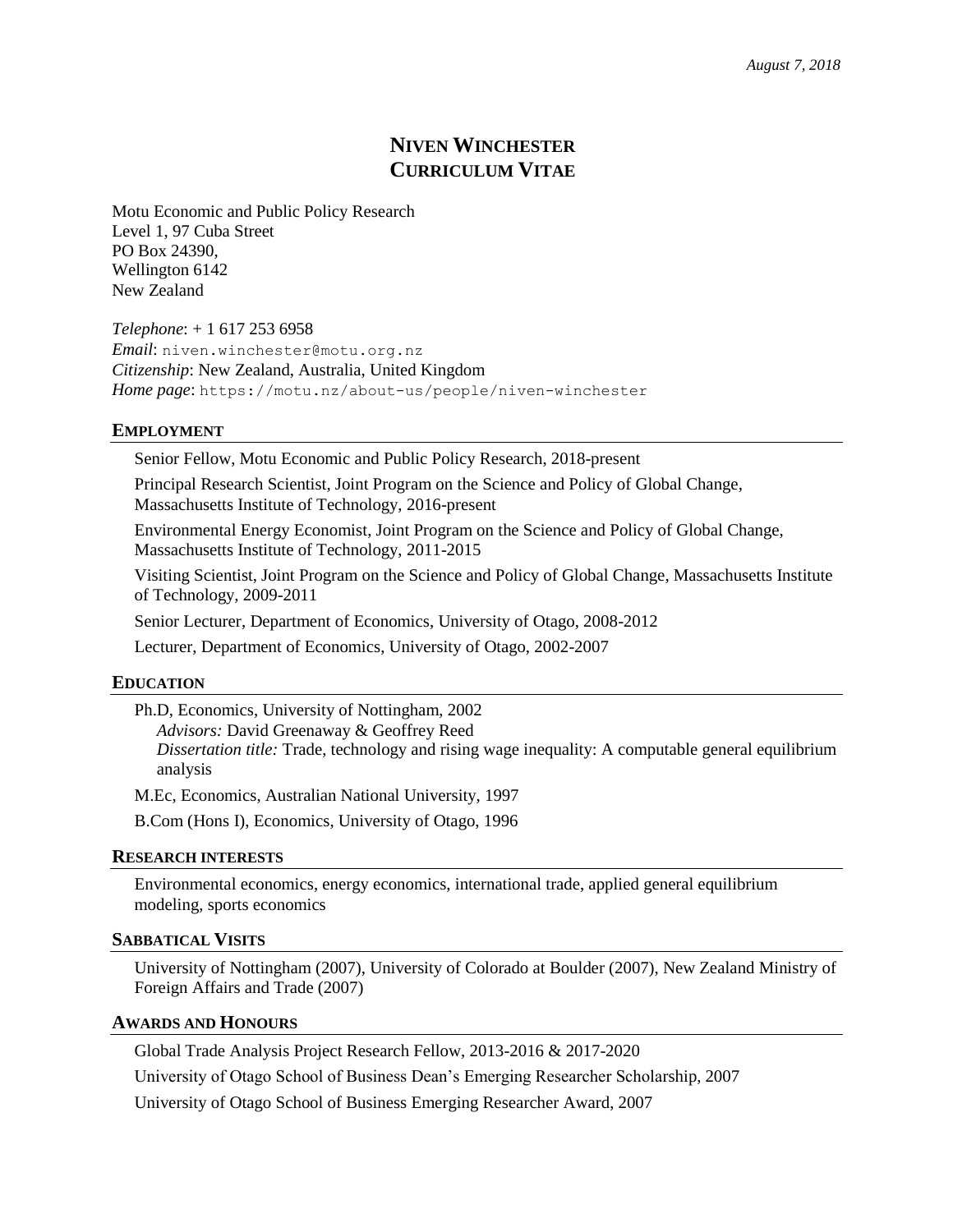# **NIVEN WINCHESTER CURRICULUM VITAE**

Motu Economic and Public Policy Research Level 1, 97 Cuba Street PO Box 24390, Wellington 6142 New Zealand

*Telephone*: + 1 617 253 6958 *Email*: niven.winchester@motu.org.nz *Citizenship*: New Zealand, Australia, United Kingdom *Home page*: https://motu.nz/about-us/people/niven-winchester

#### **EMPLOYMENT**

Senior Fellow, Motu Economic and Public Policy Research, 2018-present

Principal Research Scientist, Joint Program on the Science and Policy of Global Change, Massachusetts Institute of Technology, 2016-present

Environmental Energy Economist, Joint Program on the Science and Policy of Global Change, Massachusetts Institute of Technology, 2011-2015

Visiting Scientist, Joint Program on the Science and Policy of Global Change, Massachusetts Institute of Technology, 2009-2011

Senior Lecturer, Department of Economics, University of Otago, 2008-2012

Lecturer, Department of Economics, University of Otago, 2002-2007

#### **EDUCATION**

Ph.D, Economics, University of Nottingham, 2002 *Advisors:* David Greenaway & Geoffrey Reed *Dissertation title:* Trade, technology and rising wage inequality: A computable general equilibrium analysis

M.Ec, Economics, Australian National University, 1997

B.Com (Hons I), Economics, University of Otago, 1996

# **RESEARCH INTERESTS**

Environmental economics, energy economics, international trade, applied general equilibrium modeling, sports economics

#### **SABBATICAL VISITS**

University of Nottingham (2007), University of Colorado at Boulder (2007), New Zealand Ministry of Foreign Affairs and Trade (2007)

#### **AWARDS AND HONOURS**

Global Trade Analysis Project Research Fellow, 2013-2016 & 2017-2020

University of Otago School of Business Dean's Emerging Researcher Scholarship, 2007

University of Otago School of Business Emerging Researcher Award, 2007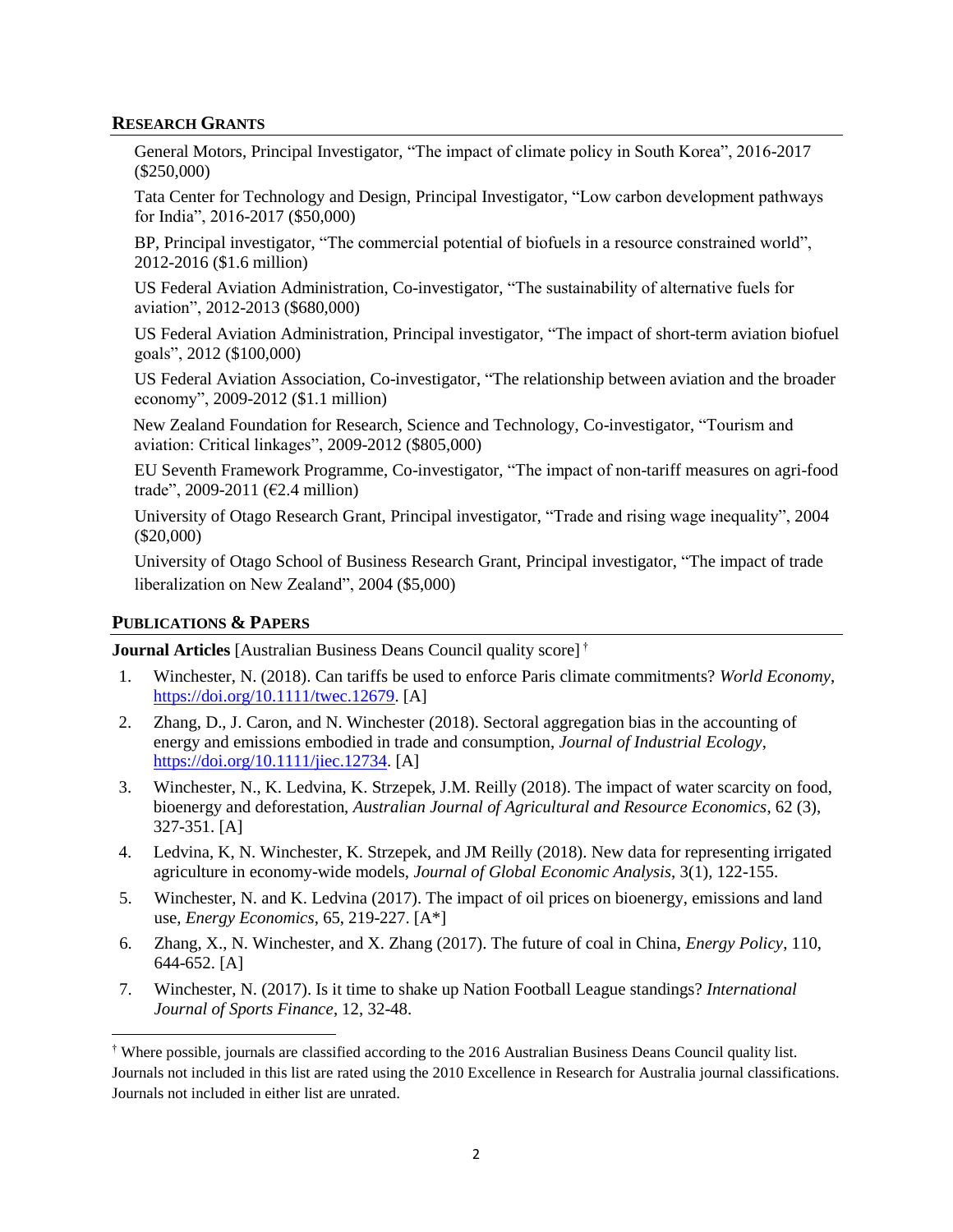#### **RESEARCH GRANTS**

General Motors, Principal Investigator, "The impact of climate policy in South Korea", 2016-2017 (\$250,000)

Tata Center for Technology and Design, Principal Investigator, "Low carbon development pathways for India", 2016-2017 (\$50,000)

BP, Principal investigator, "The commercial potential of biofuels in a resource constrained world", 2012-2016 (\$1.6 million)

US Federal Aviation Administration, Co-investigator, "The sustainability of alternative fuels for aviation", 2012-2013 (\$680,000)

US Federal Aviation Administration, Principal investigator, "The impact of short-term aviation biofuel goals", 2012 (\$100,000)

US Federal Aviation Association, Co-investigator, "The relationship between aviation and the broader economy", 2009-2012 (\$1.1 million)

New Zealand Foundation for Research, Science and Technology, Co-investigator, "Tourism and aviation: Critical linkages", 2009-2012 (\$805,000)

EU Seventh Framework Programme, Co-investigator, "The impact of non-tariff measures on agri-food trade", 2009-2011 (€2.4 million)

University of Otago Research Grant, Principal investigator, "Trade and rising wage inequality", 2004 (\$20,000)

University of Otago School of Business Research Grant, Principal investigator, "The impact of trade liberalization on New Zealand", 2004 (\$5,000)

#### **PUBLICATIONS & PAPERS**

 $\overline{\phantom{a}}$ 

**Journal Articles** [Australian Business Deans Council quality score] †

- 1. Winchester, N. (2018). Can tariffs be used to enforce Paris climate commitments? *World Economy*, [https://doi.org/10.1111/twec.12679.](https://doi.org/10.1111/twec.12679) [A]
- 2. Zhang, D., J. Caron, and N. Winchester (2018). Sectoral aggregation bias in the accounting of energy and emissions embodied in trade and consumption, *Journal of Industrial Ecology*, [https://doi.org/10.1111/jiec.12734.](https://doi.org/10.1111/jiec.12734) [A]
- 3. Winchester, N., K. Ledvina, K. Strzepek, J.M. Reilly (2018). The impact of water scarcity on food, bioenergy and deforestation, *Australian Journal of Agricultural and Resource Economics*, 62 (3), 327-351. [A]
- 4. Ledvina, K, N. Winchester, K. Strzepek, and JM Reilly (2018). New data for representing irrigated agriculture in economy-wide models, *Journal of Global Economic Analysis*, 3(1), 122-155.
- 5. Winchester, N. and K. Ledvina (2017). The impact of oil prices on bioenergy, emissions and land use, *Energy Economics*, 65, 219-227. [A\*]
- 6. Zhang, X., N. Winchester, and X. Zhang (2017). The future of coal in China, *Energy Policy*, 110, 644-652. [A]
- 7. Winchester, N. (2017). Is it time to shake up Nation Football League standings? *International Journal of Sports Finance*, 12, 32-48.

<sup>†</sup> Where possible, journals are classified according to the 2016 Australian Business Deans Council quality list. Journals not included in this list are rated using the 2010 Excellence in Research for Australia journal classifications. Journals not included in either list are unrated.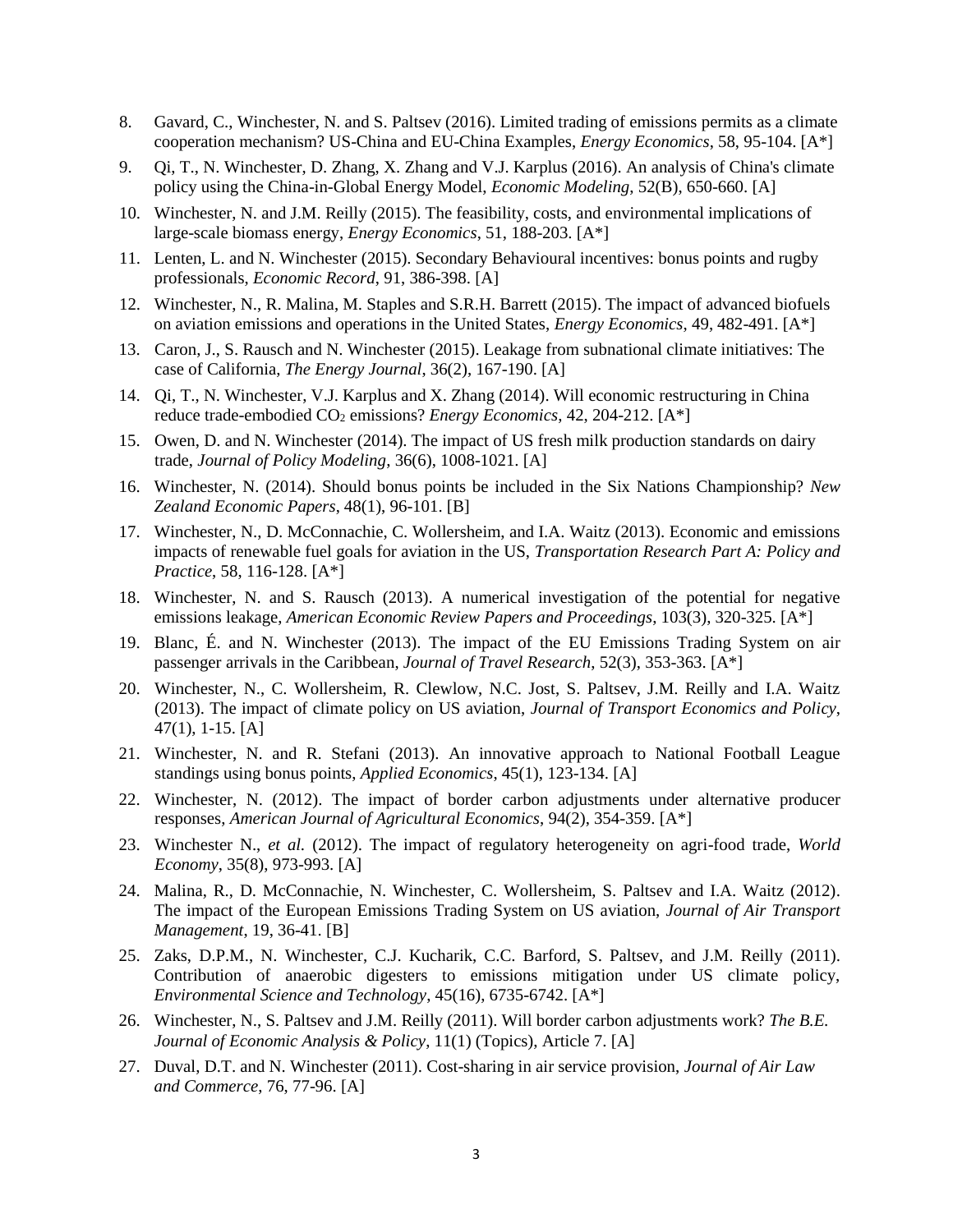- 8. Gavard, C., Winchester, N. and S. Paltsev (2016). Limited trading of emissions permits as a climate cooperation mechanism? US-China and EU-China Examples, *Energy Economics*, 58, 95-104. [A\*]
- 9. Qi, T., N. Winchester, D. Zhang, X. Zhang and V.J. Karplus (2016). An analysis of China's climate policy using the China-in-Global Energy Model, *Economic Modeling*, 52(B), 650-660. [A]
- 10. Winchester, N. and J.M. Reilly (2015). The feasibility, costs, and environmental implications of large-scale biomass energy, *Energy Economics*, 51, 188-203. [A\*]
- 11. Lenten, L. and N. Winchester (2015). Secondary Behavioural incentives: bonus points and rugby professionals, *Economic Record*, 91, 386-398. [A]
- 12. Winchester, N., R. Malina, M. Staples and S.R.H. Barrett (2015). The impact of advanced biofuels on aviation emissions and operations in the United States, *Energy Economics*, 49, 482-491. [A\*]
- 13. Caron, J., S. Rausch and N. Winchester (2015). Leakage from subnational climate initiatives: The case of California, *The Energy Journal*, 36(2), 167-190. [A]
- 14. Qi, T., N. Winchester, V.J. Karplus and X. Zhang (2014). Will economic restructuring in China reduce trade-embodied CO<sup>2</sup> emissions? *Energy Economics*, 42, 204-212. [A\*]
- 15. Owen, D. and N. Winchester (2014). The impact of US fresh milk production standards on dairy trade, *Journal of Policy Modeling*, 36(6), 1008-1021. [A]
- 16. Winchester, N. (2014). Should bonus points be included in the Six Nations Championship? *New Zealand Economic Papers*, 48(1), 96-101. [B]
- 17. Winchester, N., D. McConnachie, C. Wollersheim, and I.A. Waitz (2013). Economic and emissions impacts of renewable fuel goals for aviation in the US, *Transportation Research Part A: Policy and Practice*, 58, 116-128. [A\*]
- 18. Winchester, N. and S. Rausch (2013). A numerical investigation of the potential for negative emissions leakage, *American Economic Review Papers and Proceedings*, 103(3), 320-325. [A\*]
- 19. Blanc, É. and N. Winchester (2013). The impact of the EU Emissions Trading System on air passenger arrivals in the Caribbean, *Journal of Travel Research*, 52(3), 353-363. [A\*]
- 20. Winchester, N., C. Wollersheim, R. Clewlow, N.C. Jost, S. Paltsev, J.M. Reilly and I.A. Waitz (2013). The impact of climate policy on US aviation, *Journal of Transport Economics and Policy*, 47(1), 1-15. [A]
- 21. Winchester, N. and R. Stefani (2013). An innovative approach to National Football League standings using bonus points, *Applied Economics*, 45(1), 123-134. [A]
- 22. Winchester, N. (2012). The impact of border carbon adjustments under alternative producer responses, *American Journal of Agricultural Economics*, 94(2), 354-359. [A\*]
- 23. Winchester N., *et al.* (2012). The impact of regulatory heterogeneity on agri-food trade, *World Economy*, 35(8), 973-993. [A]
- 24. Malina, R., D. McConnachie, N. Winchester, C. Wollersheim, S. Paltsev and I.A. Waitz (2012). The impact of the European Emissions Trading System on US aviation, *Journal of Air Transport Management*, 19, 36-41. [B]
- 25. Zaks, D.P.M., N. Winchester, C.J. Kucharik, C.C. Barford, S. Paltsev, and J.M. Reilly (2011). Contribution of anaerobic digesters to emissions mitigation under US climate policy, *Environmental Science and Technology*, 45(16), 6735-6742. [A\*]
- 26. Winchester, N., S. Paltsev and J.M. Reilly (2011). Will border carbon adjustments work? *The B.E. Journal of Economic Analysis & Policy*, 11(1) (Topics), Article 7. [A]
- 27. Duval, D.T. and N. Winchester (2011). Cost-sharing in air service provision, *Journal of Air Law and Commerce*, 76, 77-96. [A]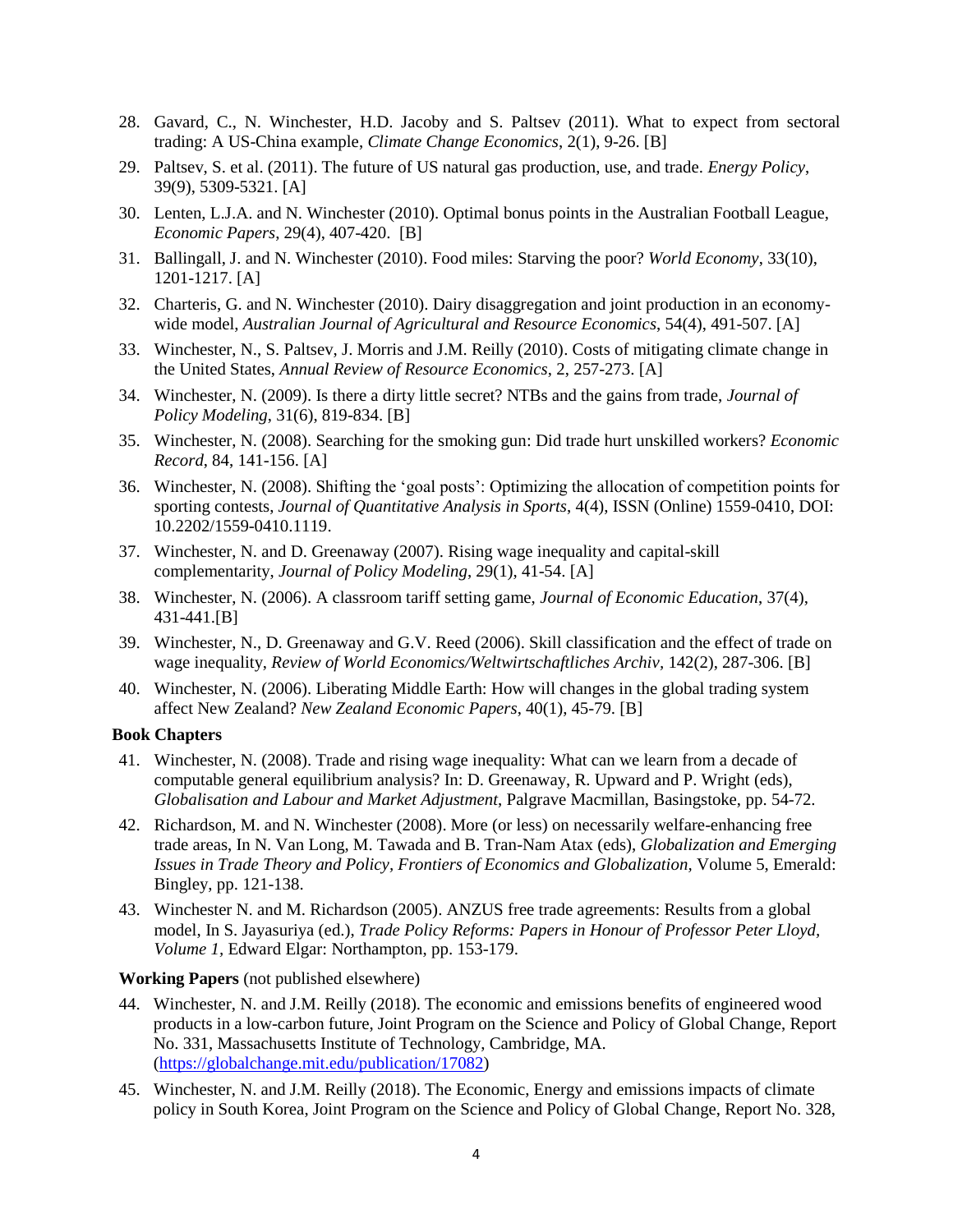- 28. Gavard, C., N. Winchester, H.D. Jacoby and S. Paltsev (2011). What to expect from sectoral trading: A US-China example, *Climate Change Economics*, 2(1), 9-26. [B]
- 29. Paltsev, S. et al. (2011). The future of US natural gas production, use, and trade. *Energy Policy*, 39(9), 5309-5321. [A]
- 30. Lenten, L.J.A. and N. Winchester (2010). Optimal bonus points in the Australian Football League, *Economic Papers*, 29(4), 407-420. [B]
- 31. Ballingall, J. and N. Winchester (2010). Food miles: Starving the poor? *World Economy*, 33(10), 1201-1217. [A]
- 32. Charteris, G. and N. Winchester (2010). Dairy disaggregation and joint production in an economywide model, *Australian Journal of Agricultural and Resource Economics*, 54(4), 491-507. [A]
- 33. Winchester, N., S. Paltsev, J. Morris and J.M. Reilly (2010). Costs of mitigating climate change in the United States, *Annual Review of Resource Economics*, 2, 257-273. [A]
- 34. Winchester, N. (2009). Is there a dirty little secret? NTBs and the gains from trade, *Journal of Policy Modeling*, 31(6), 819-834. [B]
- 35. Winchester, N. (2008). Searching for the smoking gun: Did trade hurt unskilled workers? *Economic Record*, 84, 141-156. [A]
- 36. Winchester, N. (2008). Shifting the 'goal posts': Optimizing the allocation of competition points for sporting contests, *Journal of Quantitative Analysis in Sports*, 4(4), ISSN (Online) 1559-0410, DOI: 10.2202/1559-0410.1119.
- 37. Winchester, N. and D. Greenaway (2007). Rising wage inequality and capital-skill complementarity, *Journal of Policy Modeling*, 29(1), 41-54. [A]
- 38. Winchester, N. (2006). A classroom tariff setting game, *Journal of Economic Education*, 37(4), 431-441.[B]
- 39. Winchester, N., D. Greenaway and G.V. Reed (2006). Skill classification and the effect of trade on wage inequality, *Review of World Economics/Weltwirtschaftliches Archiv,* 142(2), 287-306. [B]
- 40. Winchester, N. (2006). Liberating Middle Earth: How will changes in the global trading system affect New Zealand? *New Zealand Economic Papers*, 40(1), 45-79. [B]

#### **Book Chapters**

- 41. Winchester, N. (2008). Trade and rising wage inequality: What can we learn from a decade of computable general equilibrium analysis? In: D. Greenaway, R. Upward and P. Wright (eds), *Globalisation and Labour and Market Adjustment*, Palgrave Macmillan, Basingstoke, pp. 54-72.
- 42. Richardson, M. and N. Winchester (2008). More (or less) on necessarily welfare-enhancing free trade areas, In N. Van Long, M. Tawada and B. Tran-Nam Atax (eds), *Globalization and Emerging Issues in Trade Theory and Policy, Frontiers of Economics and Globalization,* Volume 5, Emerald: Bingley, pp. 121-138.
- 43. Winchester N. and M. Richardson (2005). ANZUS free trade agreements: Results from a global model, In S. Jayasuriya (ed.), *Trade Policy Reforms: Papers in Honour of Professor Peter Lloyd, Volume 1,* Edward Elgar: Northampton, pp. 153-179.

# **Working Papers** (not published elsewhere)

- 44. Winchester, N. and J.M. Reilly (2018). The economic and emissions benefits of engineered wood products in a low-carbon future, Joint Program on the Science and Policy of Global Change, Report No. 331, Massachusetts Institute of Technology, Cambridge, MA. [\(https://globalchange.mit.edu/publication/17082\)](https://globalchange.mit.edu/publication/17082)
- 45. Winchester, N. and J.M. Reilly (2018). The Economic, Energy and emissions impacts of climate policy in South Korea, Joint Program on the Science and Policy of Global Change, Report No. 328,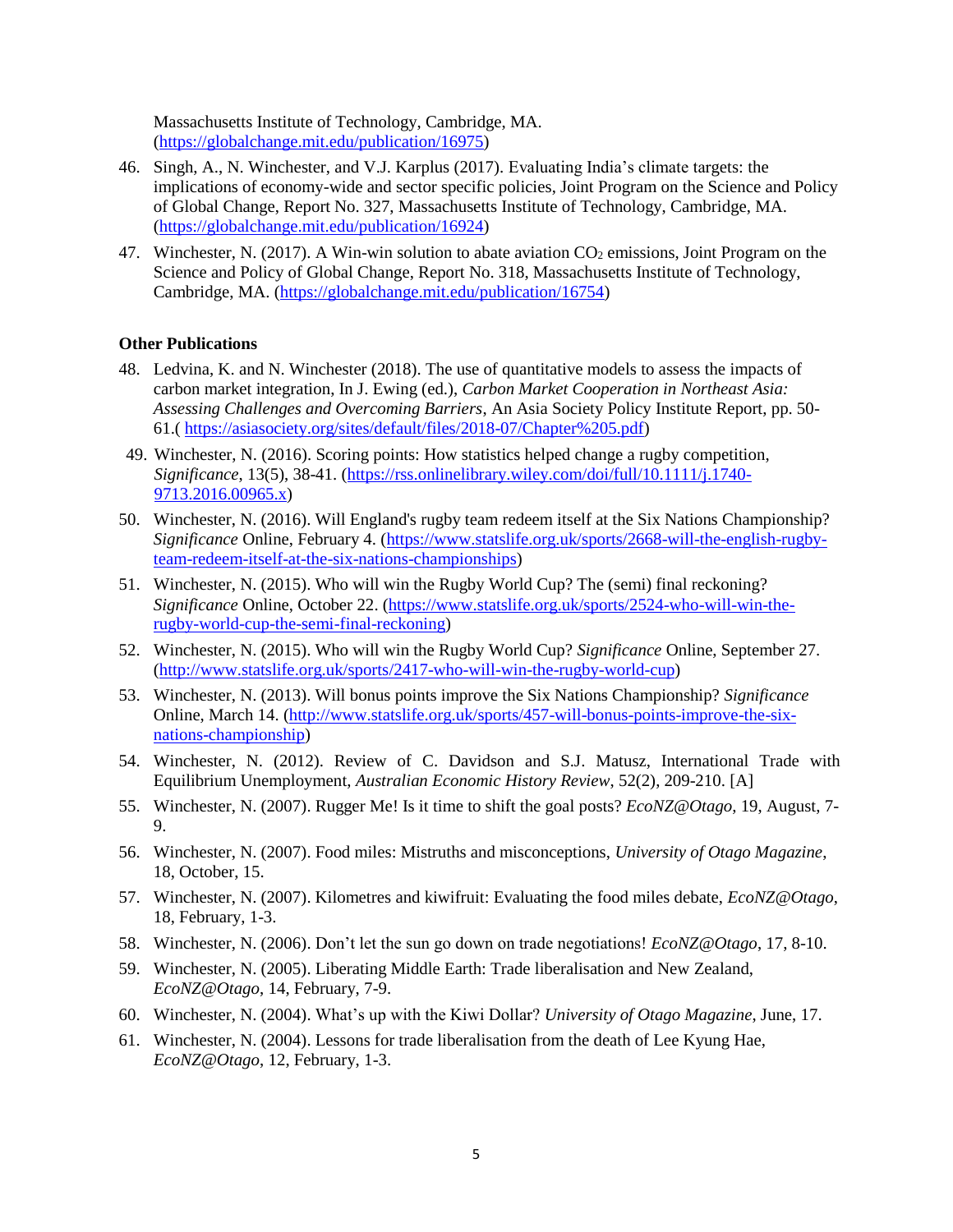Massachusetts Institute of Technology, Cambridge, MA. [\(https://globalchange.mit.edu/publication/16975\)](https://globalchange.mit.edu/publication/16975)

- 46. Singh, A., N. Winchester, and V.J. Karplus (2017). Evaluating India's climate targets: the implications of economy-wide and sector specific policies, Joint Program on the Science and Policy of Global Change, Report No. 327, Massachusetts Institute of Technology, Cambridge, MA. [\(https://globalchange.mit.edu/publication/16924\)](https://globalchange.mit.edu/publication/16924)
- 47. Winchester, N. (2017). A Win-win solution to abate aviation  $CO<sub>2</sub>$  emissions, Joint Program on the Science and Policy of Global Change, Report No. 318, Massachusetts Institute of Technology, Cambridge, MA. [\(https://globalchange.mit.edu/publication/16754\)](https://globalchange.mit.edu/publication/16754)

#### **Other Publications**

- 48. Ledvina, K. and N. Winchester (2018). The use of quantitative models to assess the impacts of carbon market integration, In J. Ewing (ed.), *Carbon Market Cooperation in Northeast Asia: Assessing Challenges and Overcoming Barriers*, An Asia Society Policy Institute Report, pp. 50- 61.( [https://asiasociety.org/sites/default/files/2018-07/Chapter%205.pdf\)](https://asiasociety.org/sites/default/files/2018-07/Chapter%205.pdf)
- 49. Winchester, N. (2016). Scoring points: How statistics helped change a rugby competition, *Significance*, 13(5), 38-41. [\(https://rss.onlinelibrary.wiley.com/doi/full/10.1111/j.1740-](https://rss.onlinelibrary.wiley.com/doi/full/10.1111/j.1740-9713.2016.00965.x) [9713.2016.00965.x\)](https://rss.onlinelibrary.wiley.com/doi/full/10.1111/j.1740-9713.2016.00965.x)
- 50. Winchester, N. (2016). Will England's rugby team redeem itself at the Six Nations Championship? *Significance* Online, February 4. [\(https://www.statslife.org.uk/sports/2668-will-the-english-rugby](https://www.statslife.org.uk/sports/2668-will-the-english-rugby-team-redeem-itself-at-the-six-nations-championships)[team-redeem-itself-at-the-six-nations-championships\)](https://www.statslife.org.uk/sports/2668-will-the-english-rugby-team-redeem-itself-at-the-six-nations-championships)
- 51. Winchester, N. (2015). Who will win the Rugby World Cup? The (semi) final reckoning? *Significance* Online, October 22. [\(https://www.statslife.org.uk/sports/2524-who-will-win-the](https://www.statslife.org.uk/sports/2524-who-will-win-the-rugby-world-cup-the-semi-final-reckoning)[rugby-world-cup-the-semi-final-reckoning\)](https://www.statslife.org.uk/sports/2524-who-will-win-the-rugby-world-cup-the-semi-final-reckoning)
- 52. Winchester, N. (2015). Who will win the Rugby World Cup? *Significance* Online, September 27. [\(http://www.statslife.org.uk/sports/2417-who-will-win-the-rugby-world-cup\)](http://www.statslife.org.uk/sports/2417-who-will-win-the-rugby-world-cup)
- 53. Winchester, N. (2013). Will bonus points improve the Six Nations Championship? *Significance* Online, March 14. [\(http://www.statslife.org.uk/sports/457-will-bonus-points-improve-the-six](http://www.statslife.org.uk/sports/457-will-bonus-points-improve-the-six-nations-championship)[nations-championship\)](http://www.statslife.org.uk/sports/457-will-bonus-points-improve-the-six-nations-championship)
- 54. Winchester, N. (2012). Review of C. Davidson and S.J. Matusz, International Trade with Equilibrium Unemployment, *Australian Economic History Review*, 52(2), 209-210. [A]
- 55. Winchester, N. (2007). Rugger Me! Is it time to shift the goal posts? *EcoNZ@Otago*, 19, August, 7- 9.
- 56. Winchester, N. (2007). Food miles: Mistruths and misconceptions, *University of Otago Magazine*, 18, October, 15.
- 57. Winchester, N. (2007). Kilometres and kiwifruit: Evaluating the food miles debate, *EcoNZ@Otago*, 18, February, 1-3.
- 58. Winchester, N. (2006). Don't let the sun go down on trade negotiations! *EcoNZ@Otago*, 17, 8-10.
- 59. Winchester, N. (2005). Liberating Middle Earth: Trade liberalisation and New Zealand, *EcoNZ@Otago*, 14, February, 7-9.
- 60. Winchester, N. (2004). What's up with the Kiwi Dollar? *University of Otago Magazine*, June, 17.
- 61. Winchester, N. (2004). Lessons for trade liberalisation from the death of Lee Kyung Hae, *EcoNZ@Otago*, 12, February, 1-3.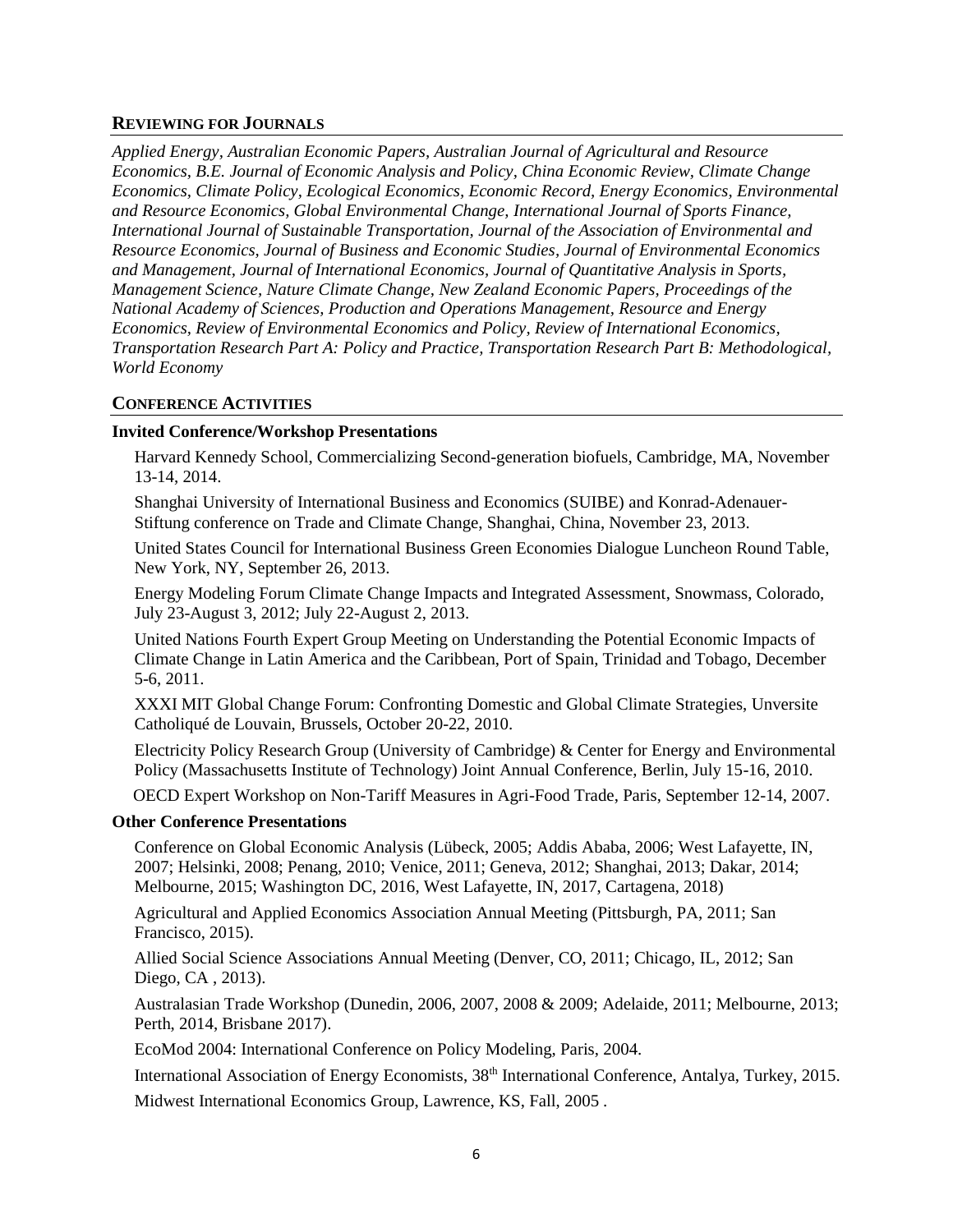#### **REVIEWING FOR JOURNALS**

*Applied Energy, Australian Economic Papers, Australian Journal of Agricultural and Resource Economics, B.E. Journal of Economic Analysis and Policy, China Economic Review, Climate Change Economics, Climate Policy, Ecological Economics, Economic Record, Energy Economics, Environmental and Resource Economics, Global Environmental Change, International Journal of Sports Finance, International Journal of Sustainable Transportation, Journal of the Association of Environmental and Resource Economics, Journal of Business and Economic Studies, Journal of Environmental Economics and Management, Journal of International Economics, Journal of Quantitative Analysis in Sports, Management Science, Nature Climate Change, New Zealand Economic Papers, Proceedings of the National Academy of Sciences, Production and Operations Management, Resource and Energy Economics, Review of Environmental Economics and Policy, Review of International Economics, Transportation Research Part A: Policy and Practice, Transportation Research Part B: Methodological, World Economy*

# **CONFERENCE ACTIVITIES**

# **Invited Conference/Workshop Presentations**

Harvard Kennedy School, Commercializing Second-generation biofuels, Cambridge, MA, November 13-14, 2014.

Shanghai University of International Business and Economics (SUIBE) and Konrad-Adenauer-Stiftung conference on Trade and Climate Change, Shanghai, China, November 23, 2013.

United States Council for International Business Green Economies Dialogue Luncheon Round Table, New York, NY, September 26, 2013.

Energy Modeling Forum Climate Change Impacts and Integrated Assessment, Snowmass, Colorado, July 23-August 3, 2012; July 22-August 2, 2013.

United Nations Fourth Expert Group Meeting on Understanding the Potential Economic Impacts of Climate Change in Latin America and the Caribbean, Port of Spain, Trinidad and Tobago, December 5-6, 2011.

XXXI MIT Global Change Forum: Confronting Domestic and Global Climate Strategies, Unversite Catholiqué de Louvain, Brussels, October 20-22, 2010.

Electricity Policy Research Group (University of Cambridge) & Center for Energy and Environmental Policy (Massachusetts Institute of Technology) Joint Annual Conference, Berlin, July 15-16, 2010.

OECD Expert Workshop on Non-Tariff Measures in Agri-Food Trade, Paris, September 12-14, 2007.

#### **Other Conference Presentations**

Conference on Global Economic Analysis (Lübeck, 2005; Addis Ababa, 2006; West Lafayette, IN, 2007; Helsinki, 2008; Penang, 2010; Venice, 2011; Geneva, 2012; Shanghai, 2013; Dakar, 2014; Melbourne, 2015; Washington DC, 2016, West Lafayette, IN, 2017, Cartagena, 2018)

Agricultural and Applied Economics Association Annual Meeting (Pittsburgh, PA, 2011; San Francisco, 2015).

Allied Social Science Associations Annual Meeting (Denver, CO, 2011; Chicago, IL, 2012; San Diego, CA , 2013).

Australasian Trade Workshop (Dunedin, 2006, 2007, 2008 & 2009; Adelaide, 2011; Melbourne, 2013; Perth, 2014, Brisbane 2017).

EcoMod 2004: International Conference on Policy Modeling, Paris, 2004.

International Association of Energy Economists, 38<sup>th</sup> International Conference, Antalya, Turkey, 2015.

Midwest International Economics Group, Lawrence, KS, Fall, 2005 .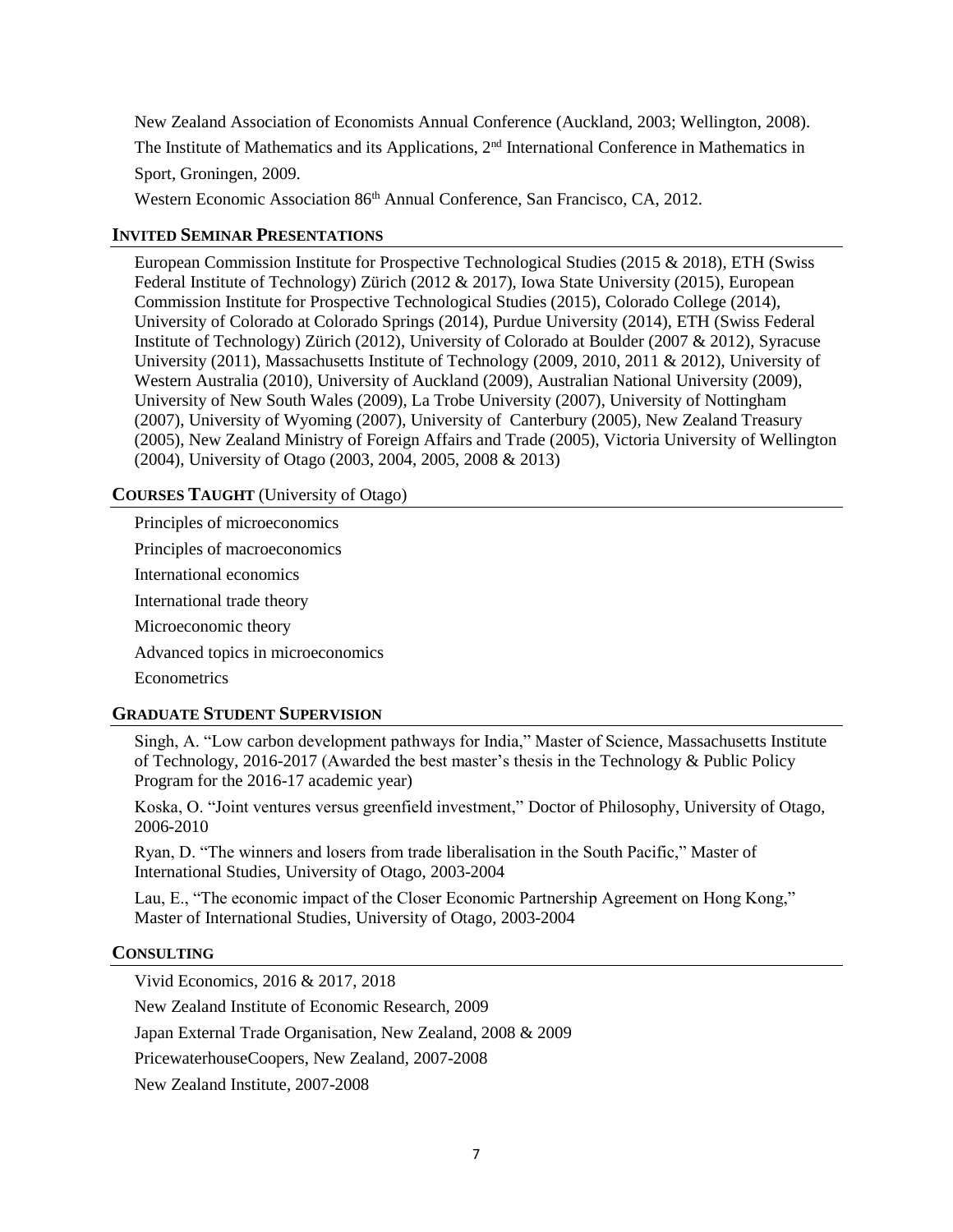New Zealand Association of Economists Annual Conference (Auckland, 2003; Wellington, 2008). The Institute of Mathematics and its Applications, 2<sup>nd</sup> International Conference in Mathematics in Sport, Groningen, 2009.

Western Economic Association 86<sup>th</sup> Annual Conference, San Francisco, CA, 2012.

# **INVITED SEMINAR PRESENTATIONS**

European Commission Institute for Prospective Technological Studies (2015 & 2018), ETH (Swiss Federal Institute of Technology) Zürich (2012 & 2017), Iowa State University (2015), European Commission Institute for Prospective Technological Studies (2015), Colorado College (2014), University of Colorado at Colorado Springs (2014), Purdue University (2014), ETH (Swiss Federal Institute of Technology) Zürich (2012), University of Colorado at Boulder (2007 & 2012), Syracuse University (2011), Massachusetts Institute of Technology (2009, 2010, 2011 & 2012), University of Western Australia (2010), University of Auckland (2009), Australian National University (2009), University of New South Wales (2009), La Trobe University (2007), University of Nottingham (2007), University of Wyoming (2007), University of Canterbury (2005), New Zealand Treasury (2005), New Zealand Ministry of Foreign Affairs and Trade (2005), Victoria University of Wellington (2004), University of Otago (2003, 2004, 2005, 2008 & 2013)

# **COURSES TAUGHT** (University of Otago)

Principles of microeconomics Principles of macroeconomics International economics International trade theory Microeconomic theory Advanced topics in microeconomics **Econometrics** 

# **GRADUATE STUDENT SUPERVISION**

Singh, A. "Low carbon development pathways for India," Master of Science, Massachusetts Institute of Technology, 2016-2017 (Awarded the best master's thesis in the Technology & Public Policy Program for the 2016-17 academic year)

Koska, O. "Joint ventures versus greenfield investment," Doctor of Philosophy, University of Otago, 2006-2010

Ryan, D. "The winners and losers from trade liberalisation in the South Pacific," Master of International Studies, University of Otago, 2003-2004

Lau, E., "The economic impact of the Closer Economic Partnership Agreement on Hong Kong," Master of International Studies, University of Otago, 2003-2004

# **CONSULTING**

Vivid Economics, 2016 & 2017, 2018

New Zealand Institute of Economic Research, 2009

Japan External Trade Organisation, New Zealand, 2008 & 2009

PricewaterhouseCoopers, New Zealand, 2007-2008

New Zealand Institute, 2007-2008